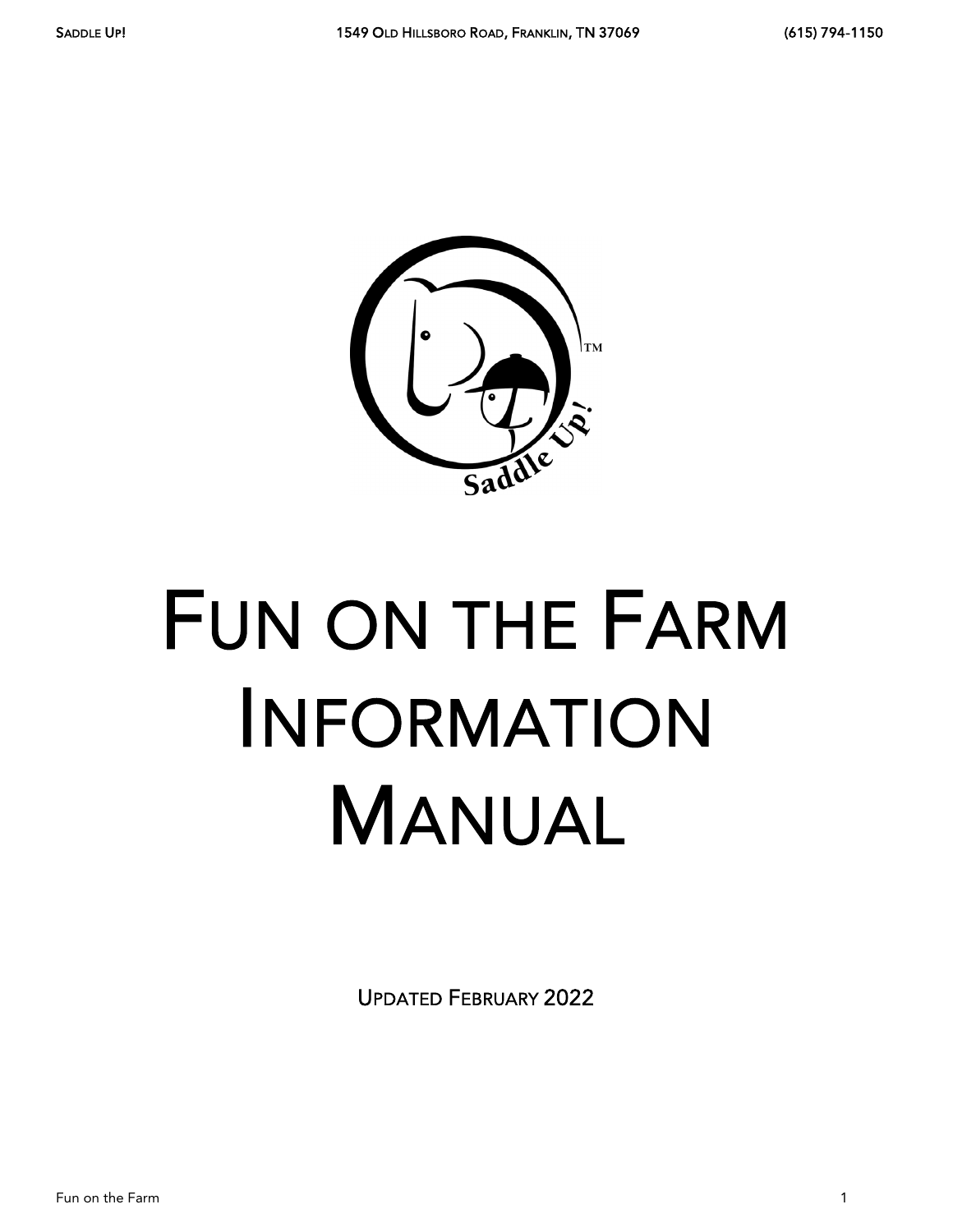

# FUN ON THE FARM INFORMATION MANUAL

UPDATED FEBRUARY 2022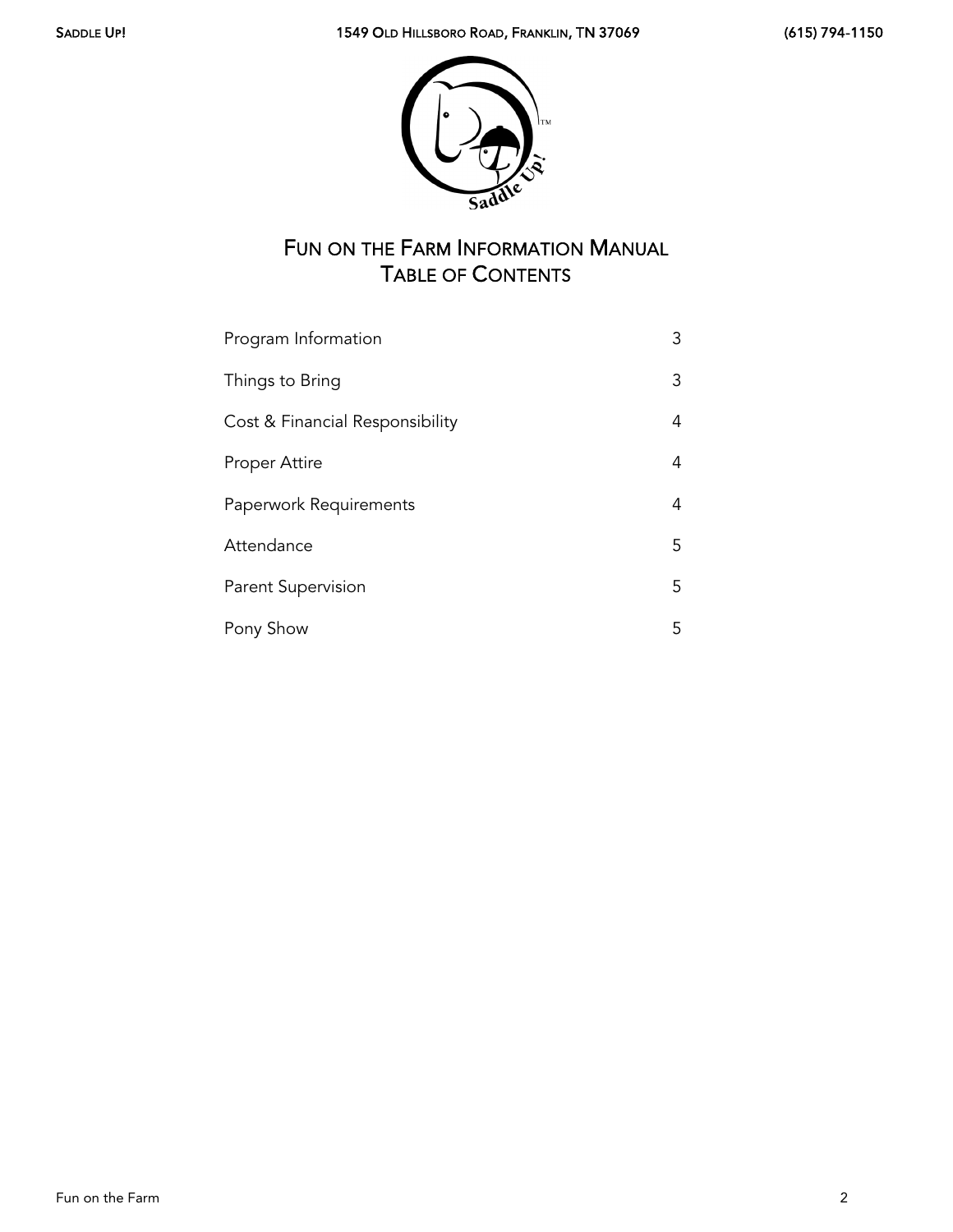

# FUN ON THE FARM INFORMATION MANUAL TABLE OF CONTENTS

| Program Information             | 3  |
|---------------------------------|----|
| Things to Bring                 | 3  |
| Cost & Financial Responsibility | 4  |
| Proper Attire                   | 4  |
| Paperwork Requirements          | 4  |
| Attendance                      | 5. |
| Parent Supervision              | 5. |
| Pony Show                       | 5  |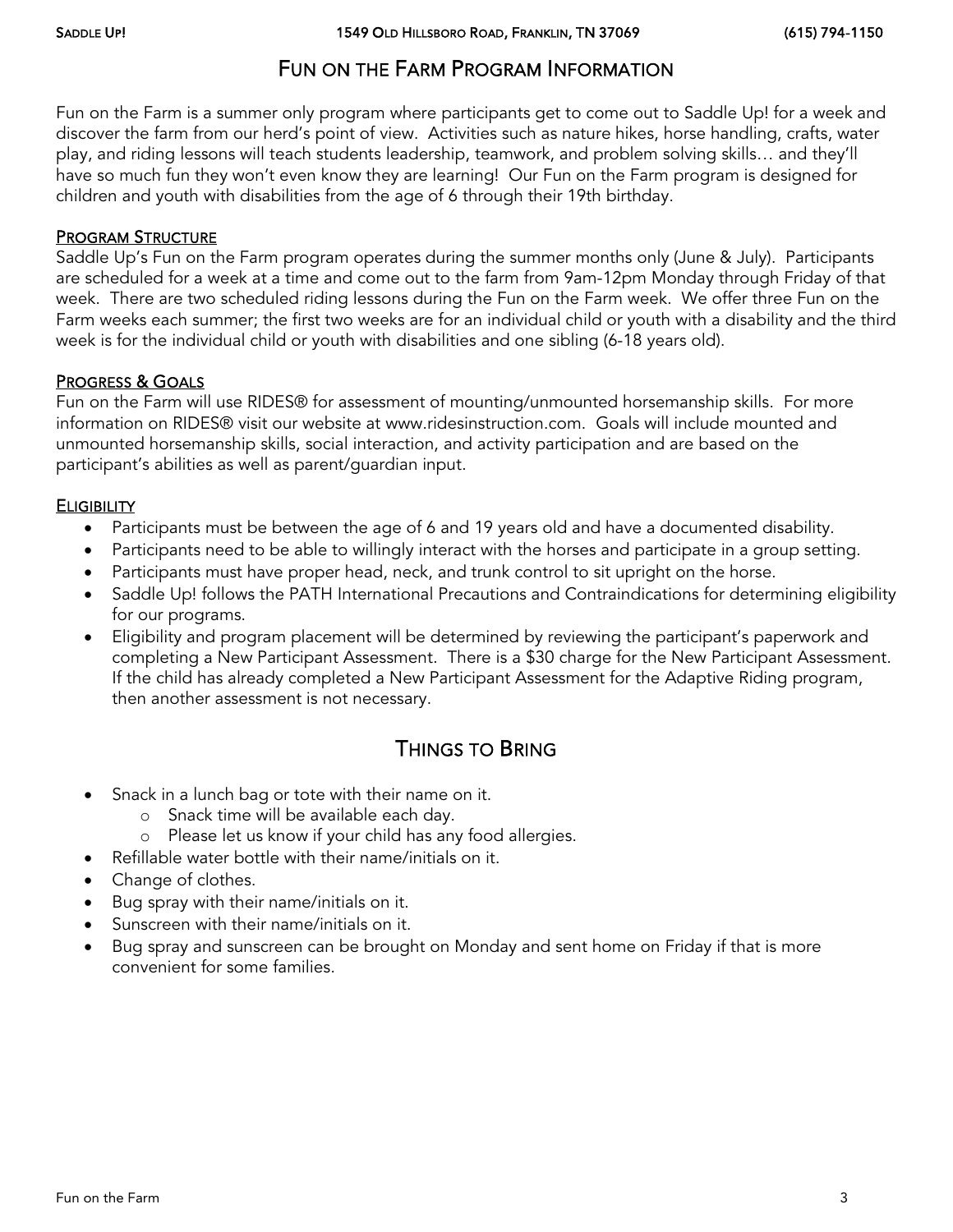## FUN ON THE FARM PROGRAM INFORMATION

Fun on the Farm is a summer only program where participants get to come out to Saddle Up! for a week and discover the farm from our herd's point of view. Activities such as nature hikes, horse handling, crafts, water play, and riding lessons will teach students leadership, teamwork, and problem solving skills… and they'll have so much fun they won't even know they are learning! Our Fun on the Farm program is designed for children and youth with disabilities from the age of 6 through their 19th birthday.

#### PROGRAM STRUCTURE

Saddle Up's Fun on the Farm program operates during the summer months only (June & July). Participants are scheduled for a week at a time and come out to the farm from 9am-12pm Monday through Friday of that week. There are two scheduled riding lessons during the Fun on the Farm week. We offer three Fun on the Farm weeks each summer; the first two weeks are for an individual child or youth with a disability and the third week is for the individual child or youth with disabilities and one sibling (6-18 years old).

#### PROGRESS & GOALS

Fun on the Farm will use RIDES® for assessment of mounting/unmounted horsemanship skills. For more information on RIDES® visit our website at www.ridesinstruction.com. Goals will include mounted and unmounted horsemanship skills, social interaction, and activity participation and are based on the participant's abilities as well as parent/guardian input.

#### **ELIGIBILITY**

- Participants must be between the age of 6 and 19 years old and have a documented disability.
- Participants need to be able to willingly interact with the horses and participate in a group setting.
- Participants must have proper head, neck, and trunk control to sit upright on the horse.
- Saddle Up! follows the PATH International Precautions and Contraindications for determining eligibility for our programs.
- Eligibility and program placement will be determined by reviewing the participant's paperwork and completing a New Participant Assessment. There is a \$30 charge for the New Participant Assessment. If the child has already completed a New Participant Assessment for the Adaptive Riding program, then another assessment is not necessary.

## THINGS TO BRING

- Snack in a lunch bag or tote with their name on it.
	- o Snack time will be available each day.
	- o Please let us know if your child has any food allergies.
- Refillable water bottle with their name/initials on it.
- Change of clothes.
- Bug spray with their name/initials on it.
- Sunscreen with their name/initials on it.
- Bug spray and sunscreen can be brought on Monday and sent home on Friday if that is more convenient for some families.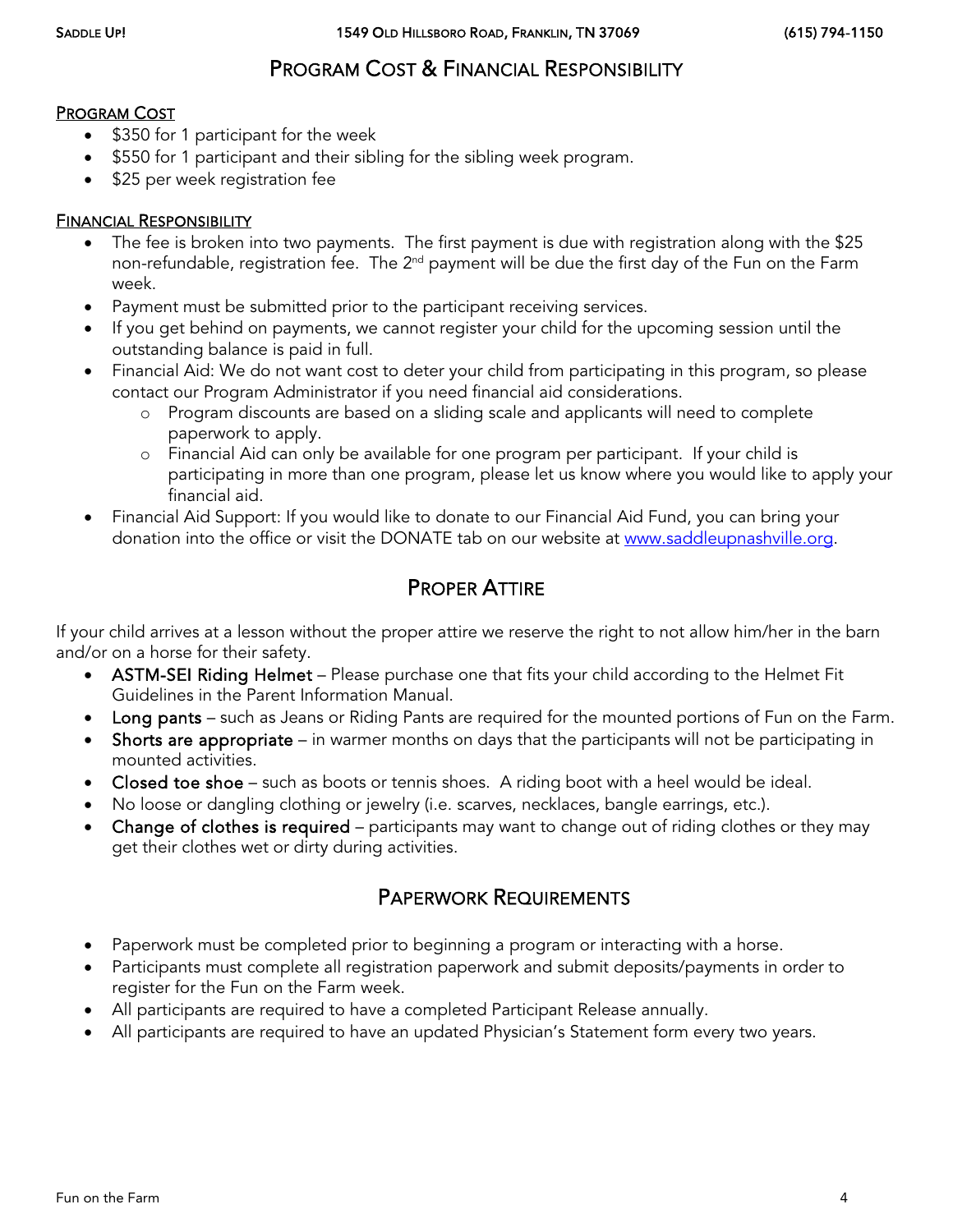# PROGRAM COST & FINANCIAL RESPONSIBILITY

#### PROGRAM COST

- \$350 for 1 participant for the week
- \$550 for 1 participant and their sibling for the sibling week program.
- \$25 per week registration fee

#### FINANCIAL RESPONSIBILITY

- The fee is broken into two payments. The first payment is due with registration along with the \$25 non-refundable, registration fee. The 2<sup>nd</sup> payment will be due the first day of the Fun on the Farm week.
- Payment must be submitted prior to the participant receiving services.
- If you get behind on payments, we cannot register your child for the upcoming session until the outstanding balance is paid in full.
- Financial Aid: We do not want cost to deter your child from participating in this program, so please contact our Program Administrator if you need financial aid considerations.
	- o Program discounts are based on a sliding scale and applicants will need to complete paperwork to apply.
	- o Financial Aid can only be available for one program per participant. If your child is participating in more than one program, please let us know where you would like to apply your financial aid.
- Financial Aid Support: If you would like to donate to our Financial Aid Fund, you can bring your donation into the office or visit the DONATE tab on our website at [www.saddleupnashville.org.](http://www.saddleupnashville.org/)

### PROPER ATTIRE

If your child arrives at a lesson without the proper attire we reserve the right to not allow him/her in the barn and/or on a horse for their safety.

- ASTM-SEI Riding Helmet Please purchase one that fits your child according to the Helmet Fit Guidelines in the Parent Information Manual.
- Long pants such as Jeans or Riding Pants are required for the mounted portions of Fun on the Farm.
- Shorts are appropriate in warmer months on days that the participants will not be participating in mounted activities.
- Closed toe shoe such as boots or tennis shoes. A riding boot with a heel would be ideal.
- No loose or dangling clothing or jewelry (i.e. scarves, necklaces, bangle earrings, etc.).
- Change of clothes is required participants may want to change out of riding clothes or they may get their clothes wet or dirty during activities.

## PAPERWORK REQUIREMENTS

- Paperwork must be completed prior to beginning a program or interacting with a horse.
- Participants must complete all registration paperwork and submit deposits/payments in order to register for the Fun on the Farm week.
- All participants are required to have a completed Participant Release annually.
- All participants are required to have an updated Physician's Statement form every two years.